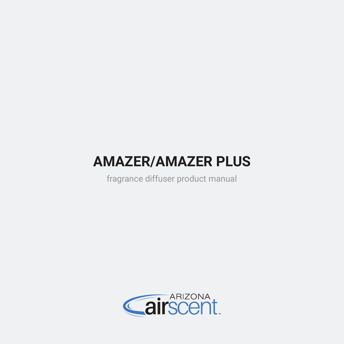# **AMAZER/AMAZER PLUS**

fragrance diffuser product manual

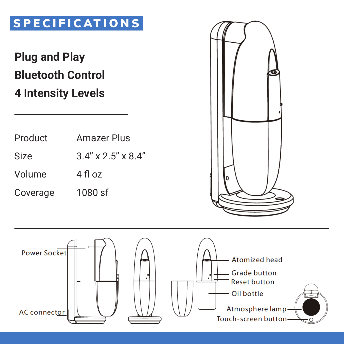## SPECIFICATIONS

## **Plug and Play Bluetooth Control 4 Intensity Levels**

| Product  | Amazer Plus                       |  |
|----------|-----------------------------------|--|
| Size     | $3.4'' \times 2.5'' \times 8.4''$ |  |
| Volume   | 4 fl oz                           |  |
| Coverage | 1080 sf                           |  |



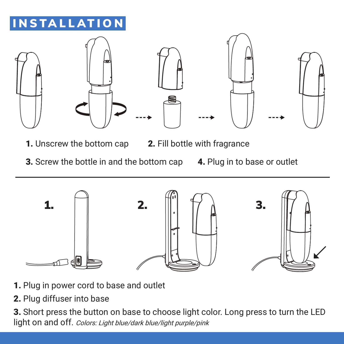## INSTALLATION



- **1.** Unscrew the bottom cap **2.** Fill bottle with fragrance
- 
- 3. Screw the bottle in and the bottom cap
- 4. Plug in to base or outlet



- 1. Plug in power cord to base and outlet
- 2. Plug diffuser into base

3. Short press the button on base to choose light color. Long press to turn the LED light on and off. Colors: Light blue/dark blue/light purple/pink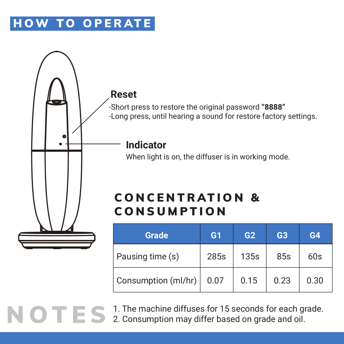## HOW TO OPERATE



NOTES <sup>1. The machine diffuses for 15 seconds for each grade.</sup> 2. Consumption may differ based on grade and oil.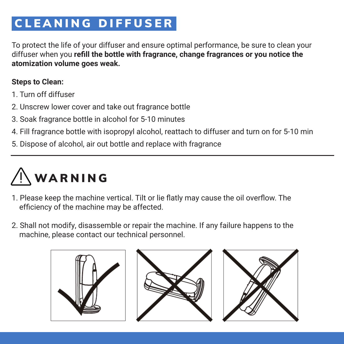## CLEANING DIFFUSER

To protect the life of your diffuser and ensure optimal performance, be sure to clean your diffuser when you **refill the bottle with fragrance, change fragrances or you notice the atomization volume goes weak.**

#### **Steps to Clean:**

- 1. Turn off diffuser
- 2. Unscrew lower cover and take out fragrance bottle
- 3. Soak fragrance bottle in alcohol for 5-10 minutes
- 4. Fill fragrance bottle with isopropyl alcohol, reattach to diffuser and turn on for 5-10 min
- 5. Dispose of alcohol, air out bottle and replace with fragrance

# WARNING

- 1. Please keep the machine vertical. Tilt or lie flatly may cause the oil overflow. The efficiency of the machine may be affected.
- 2. Shall not modify, disassemble or repair the machine. If any failure happens to the machine, please contact our technical personnel.





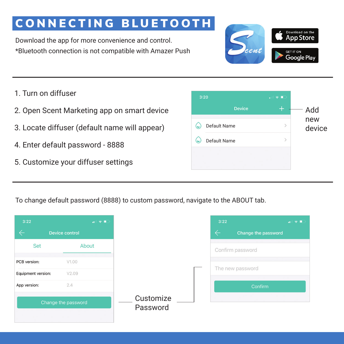## CONNECTING BLUETOOTH

Download the app for more convenience and control. \*Bluetooth connection is not compatible with Amazer Push



- 1. Turn on diffuser
- 2. Open Scent Marketing app on smart device
- 3. Locate diffuser (default name will appear)
- 4. Enter default password 8888
- 5. Customize your diffuser settings



To change default password (8888) to custom password, navigate to the ABOUT tab.

| 3:22               | $\mathbf{u}$ is $\mathbf{v}$ in . |           | 3:22             |                     |
|--------------------|-----------------------------------|-----------|------------------|---------------------|
|                    | <b>Device control</b>             |           | $\leftarrow$     | Change the password |
| Set                | About                             |           | Confirm password |                     |
| PCB version:       | V1.00                             |           |                  |                     |
| Equipment version: | V2.09                             |           | The new password |                     |
| App version:       | 2.4                               |           |                  | Confirm             |
|                    | Change the password               | Customize |                  |                     |
|                    |                                   | Password  |                  |                     |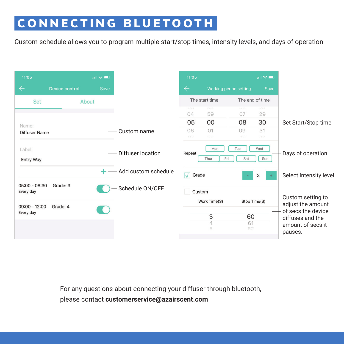## CONNECTING BLUETOOTH

Custom schedule allows you to program multiple start/stop times, intensity levels, and days of operation



For any questions about connecting your diffuser through bluetooth, please contact **customerservice@azairscent.com**